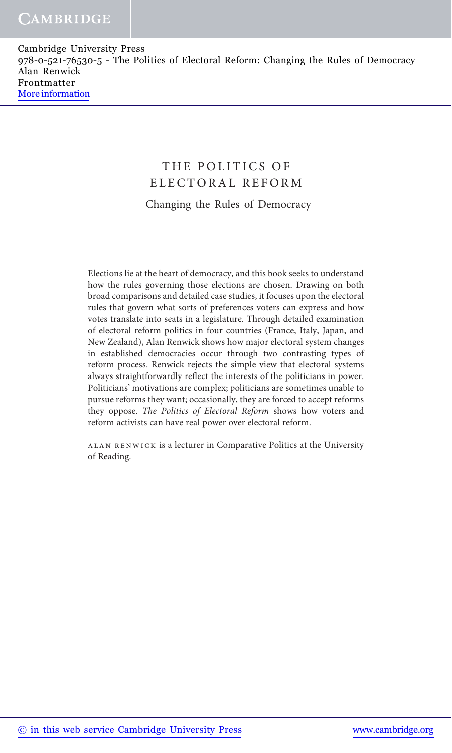# THE POLITICS OF ELECTORAL REFORM Changing the Rules of Democracy

Elections lie at the heart of democracy, and this book seeks to understand how the rules governing those elections are chosen. Drawing on both broad comparisons and detailed case studies, it focuses upon the electoral rules that govern what sorts of preferences voters can express and how votes translate into seats in a legislature. Through detailed examination of electoral reform politics in four countries (France, Italy, Japan, and New Zealand), Alan Renwick shows how major electoral system changes in established democracies occur through two contrasting types of reform process. Renwick rejects the simple view that electoral systems always straightforwardly reflect the interests of the politicians in power. Politicians' motivations are complex; politicians are sometimes unable to pursue reforms they want; occasionally, they are forced to accept reforms they oppose. The Politics of Electoral Reform shows how voters and reform activists can have real power over electoral reform.

alan renwick is a lecturer in Comparative Politics at the University of Reading.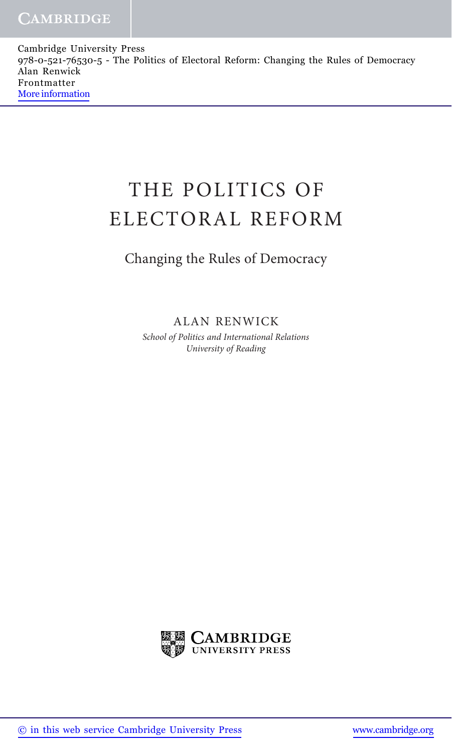# THE POLITICS OF ELECTORAL REFORM

# Changing the Rules of Democracy

ALAN RENWICK

School of Politics and International Relations University of Reading

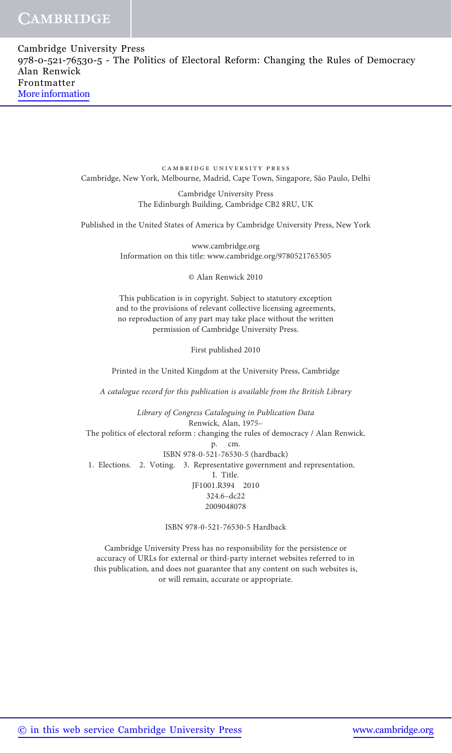| Cambridge University Press                                                            |
|---------------------------------------------------------------------------------------|
| 978-0-521-76530-5 - The Politics of Electoral Reform: Changing the Rules of Democracy |
| Alan Renwick                                                                          |
| Frontmatter                                                                           |
| More information                                                                      |
|                                                                                       |

cambridge university press Cambridge, New York, Melbourne, Madrid, Cape Town, Singapore, São Paulo, Delhi

> Cambridge University Press The Edinburgh Building, Cambridge CB2 8RU, UK

Published in the United States of America by Cambridge University Press, New York

www.cambridge.org Information on this title: www.cambridge.org/9780521765305

© Alan Renwick 2010

This publication is in copyright. Subject to statutory exception and to the provisions of relevant collective licensing agreements, no reproduction of any part may take place without the written permission of Cambridge University Press.

First published 2010

Printed in the United Kingdom at the University Press, Cambridge

A catalogue record for this publication is available from the British Library

Library of Congress Cataloguing in Publication Data Renwick, Alan, 1975– The politics of electoral reform : changing the rules of democracy / Alan Renwick. p. cm. ISBN 978-0-521-76530-5 (hardback) 1. Elections. 2. Voting. 3. Representative government and representation. I. Title. JF1001.R394 2010 324.6–dc22 2009048078

ISBN 978-0-521-76530-5 Hardback

Cambridge University Press has no responsibility for the persistence or accuracy of URLs for external or third-party internet websites referred to in this publication, and does not guarantee that any content on such websites is, or will remain, accurate or appropriate.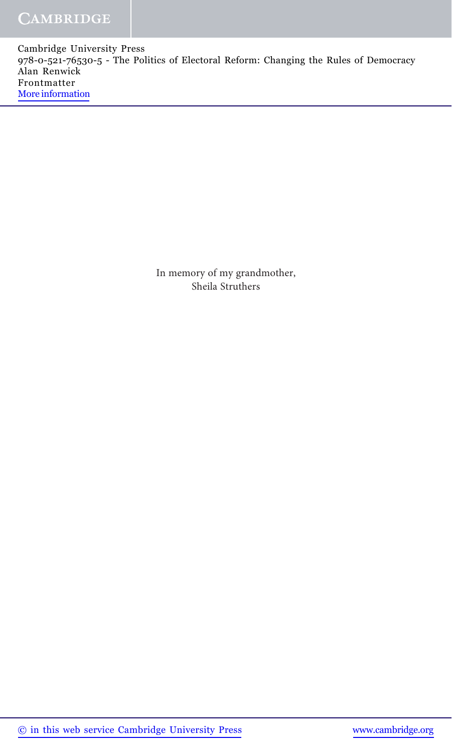> In memory of my grandmother, Sheila Struthers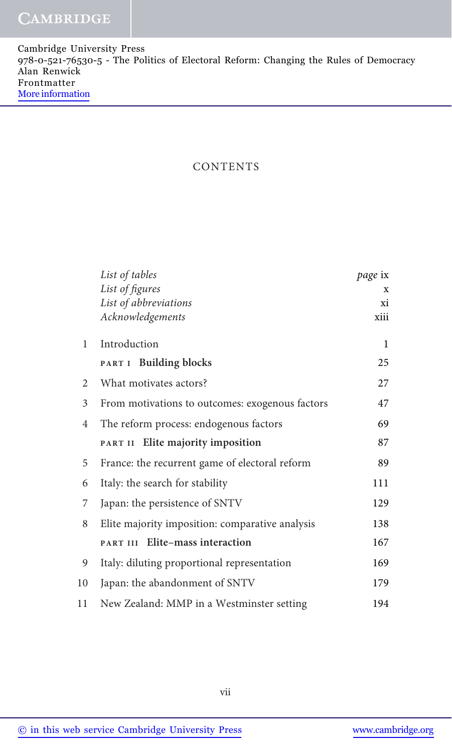#### CONTENTS

|    | List of tables                                  | page ix |
|----|-------------------------------------------------|---------|
|    | List of figures                                 | X       |
|    | List of abbreviations                           | хi      |
|    | Acknowledgements                                | xiii    |
| 1  | Introduction                                    | 1       |
|    | PART I Building blocks                          | 25      |
| 2  | What motivates actors?                          | 27      |
| 3  | From motivations to outcomes: exogenous factors | 47      |
| 4  | The reform process: endogenous factors          | 69      |
|    | Elite majority imposition<br>PART II            | 87      |
| 5  | France: the recurrent game of electoral reform  | 89      |
| 6  | Italy: the search for stability                 | 111     |
| 7  | Japan: the persistence of SNTV                  | 129     |
| 8  | Elite majority imposition: comparative analysis | 138     |
|    | Elite-mass interaction<br>PART III              | 167     |
| 9  | Italy: diluting proportional representation     | 169     |
| 10 | Japan: the abandonment of SNTV                  | 179     |
| 11 | New Zealand: MMP in a Westminster setting       | 194     |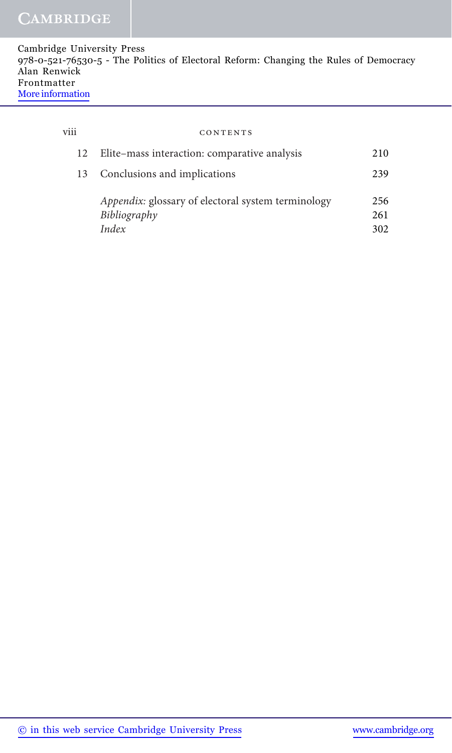| Cambridge University Press                                                            |
|---------------------------------------------------------------------------------------|
| 978-0-521-76530-5 - The Politics of Electoral Reform: Changing the Rules of Democracy |
| Alan Renwick                                                                          |
| Frontmatter                                                                           |
| More information                                                                      |

| $\cdots$<br>V111 | CONTENTS                                           |     |
|------------------|----------------------------------------------------|-----|
| 12               | Elite-mass interaction: comparative analysis       | 210 |
| 13               | Conclusions and implications                       | 239 |
|                  | Appendix: glossary of electoral system terminology | 256 |
|                  | Bibliography                                       | 261 |
|                  | Index                                              | 302 |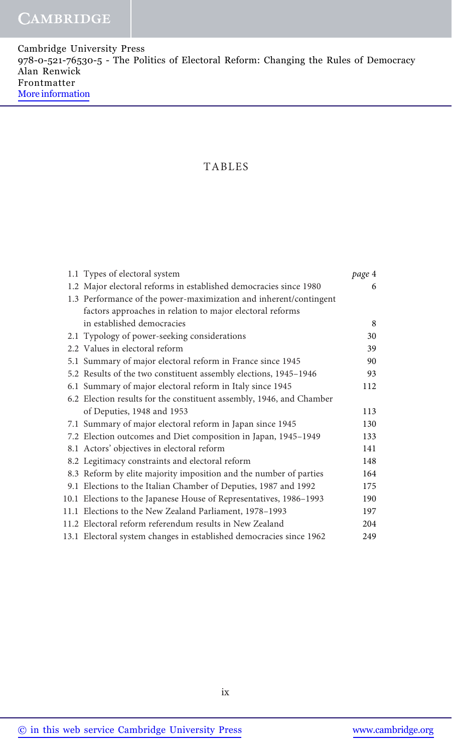Cambridge University Press 978-0-521-76530-5 - The Politics of Electoral Reform: Changing the Rules of Democracy Alan Renwick Frontmatter [More information](http://www.cambridge.org/9780521765305)

#### TABLES

| 1.1 Types of electoral system                                        | page 4 |
|----------------------------------------------------------------------|--------|
| 1.2 Major electoral reforms in established democracies since 1980    | 6      |
| 1.3 Performance of the power-maximization and inherent/contingent    |        |
| factors approaches in relation to major electoral reforms            |        |
| in established democracies                                           | 8      |
| 2.1 Typology of power-seeking considerations                         | 30     |
| 2.2 Values in electoral reform                                       | 39     |
| 5.1 Summary of major electoral reform in France since 1945           | 90     |
| 5.2 Results of the two constituent assembly elections, 1945–1946     | 93     |
| 6.1 Summary of major electoral reform in Italy since 1945            | 112    |
| 6.2 Election results for the constituent assembly, 1946, and Chamber |        |
| of Deputies, 1948 and 1953                                           | 113    |
| 7.1 Summary of major electoral reform in Japan since 1945            | 130    |
| 7.2 Election outcomes and Diet composition in Japan, 1945-1949       | 133    |
| 8.1 Actors' objectives in electoral reform                           | 141    |
| 8.2 Legitimacy constraints and electoral reform                      | 148    |
| 8.3 Reform by elite majority imposition and the number of parties    | 164    |
| 9.1 Elections to the Italian Chamber of Deputies, 1987 and 1992      | 175    |
| 10.1 Elections to the Japanese House of Representatives, 1986–1993   | 190    |
| 11.1 Elections to the New Zealand Parliament, 1978–1993              | 197    |
| 11.2 Electoral reform referendum results in New Zealand              | 204    |
| 13.1 Electoral system changes in established democracies since 1962  | 249    |
|                                                                      |        |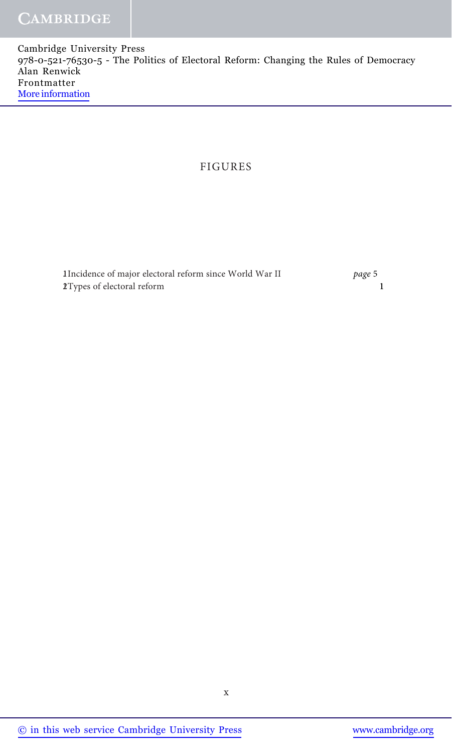### FIGURES

1Incidence of major electoral reform since World War II page 5 1.2Types of electoral reform 1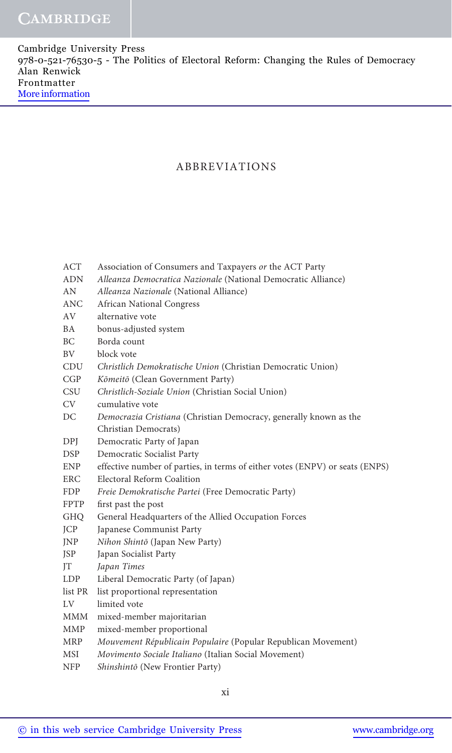#### ABBREVIATIONS

| <b>ACT</b>  | Association of Consumers and Taxpayers or the ACT Party                      |
|-------------|------------------------------------------------------------------------------|
| <b>ADN</b>  | Alleanza Democratica Nazionale (National Democratic Alliance)                |
| AN          | Alleanza Nazionale (National Alliance)                                       |
| <b>ANC</b>  | <b>African National Congress</b>                                             |
| AV          | alternative vote                                                             |
| <b>BA</b>   | bonus-adjusted system                                                        |
| BC.         | Borda count                                                                  |
| BV          | block vote                                                                   |
| CDU         | Christlich Demokratische Union (Christian Democratic Union)                  |
| CGP         | Kömeitö (Clean Government Party)                                             |
| <b>CSU</b>  | Christlich-Soziale Union (Christian Social Union)                            |
| <b>CV</b>   | cumulative vote                                                              |
| DC          | Democrazia Cristiana (Christian Democracy, generally known as the            |
|             | Christian Democrats)                                                         |
| DPJ         | Democratic Party of Japan                                                    |
| <b>DSP</b>  | Democratic Socialist Party                                                   |
| <b>ENP</b>  | effective number of parties, in terms of either votes (ENPV) or seats (ENPS) |
| <b>ERC</b>  | Electoral Reform Coalition                                                   |
| <b>FDP</b>  | Freie Demokratische Partei (Free Democratic Party)                           |
| <b>FPTP</b> | first past the post                                                          |
| <b>GHQ</b>  | General Headquarters of the Allied Occupation Forces                         |
| JCP         | Japanese Communist Party                                                     |
| JNP         | Nihon Shintō (Japan New Party)                                               |
| <b>JSP</b>  | Japan Socialist Party                                                        |
| IT          | Japan Times                                                                  |
| LDP         | Liberal Democratic Party (of Japan)                                          |
| list PR     | list proportional representation                                             |
| LV          | limited vote                                                                 |
| MMM         | mixed-member majoritarian                                                    |
| MMP         | mixed-member proportional                                                    |
| <b>MRP</b>  | Mouvement Républicain Populaire (Popular Republican Movement)                |
| MSI         | Movimento Sociale Italiano (Italian Social Movement)                         |
| <b>NFP</b>  | Shinshintō (New Frontier Party)                                              |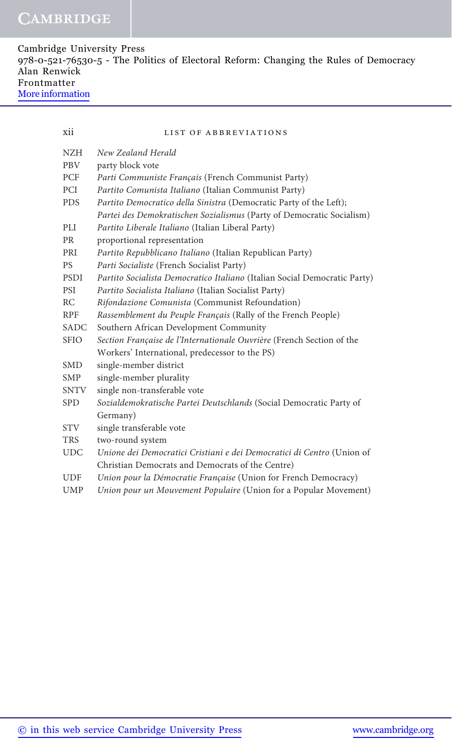| Cambridge University Press                                                            |  |
|---------------------------------------------------------------------------------------|--|
| 978-0-521-76530-5 - The Politics of Electoral Reform: Changing the Rules of Democracy |  |
| Alan Renwick                                                                          |  |
| Frontmatter                                                                           |  |
| More information                                                                      |  |

| × | × |  |
|---|---|--|
|   |   |  |
|   | ٠ |  |
|   |   |  |
|   |   |  |

#### xii list of abbreviations

| <b>NZH</b>  | New Zealand Herald                                                        |
|-------------|---------------------------------------------------------------------------|
| <b>PBV</b>  | party block vote                                                          |
| PCF         | Parti Communiste Français (French Communist Party)                        |
| <b>PCI</b>  | Partito Comunista Italiano (Italian Communist Party)                      |
| <b>PDS</b>  | Partito Democratico della Sinistra (Democratic Party of the Left);        |
|             | Partei des Demokratischen Sozialismus (Party of Democratic Socialism)     |
| PLI         | Partito Liberale Italiano (Italian Liberal Party)                         |
| <b>PR</b>   | proportional representation                                               |
| PRI         | Partito Repubblicano Italiano (Italian Republican Party)                  |
| <b>PS</b>   | Parti Socialiste (French Socialist Party)                                 |
| <b>PSDI</b> | Partito Socialista Democratico Italiano (Italian Social Democratic Party) |
| <b>PSI</b>  | Partito Socialista Italiano (Italian Socialist Party)                     |
| RC          | Rifondazione Comunista (Communist Refoundation)                           |
| <b>RPF</b>  | Rassemblement du Peuple Français (Rally of the French People)             |
| <b>SADC</b> | Southern African Development Community                                    |
| <b>SFIO</b> | Section Française de l'Internationale Ouvrière (French Section of the     |
|             | Workers' International, predecessor to the PS)                            |
| <b>SMD</b>  | single-member district                                                    |
| <b>SMP</b>  | single-member plurality                                                   |
| SNTV        | single non-transferable vote                                              |
| <b>SPD</b>  | Sozialdemokratische Partei Deutschlands (Social Democratic Party of       |
|             | Germany)                                                                  |
| <b>STV</b>  | single transferable vote                                                  |
| <b>TRS</b>  | two-round system                                                          |
| <b>UDC</b>  | Unione dei Democratici Cristiani e dei Democratici di Centro (Union of    |
|             | Christian Democrats and Democrats of the Centre)                          |
| <b>UDF</b>  | Union pour la Démocratie Française (Union for French Democracy)           |
| <b>UMP</b>  | Union pour un Mouvement Populaire (Union for a Popular Movement)          |
|             |                                                                           |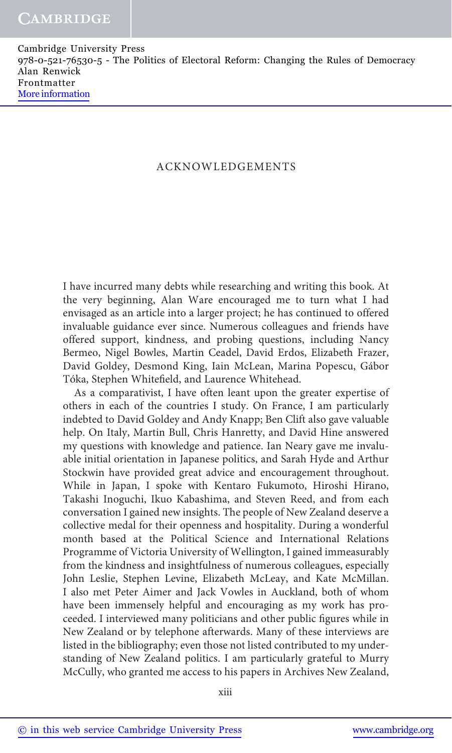### ACKNOWLEDGEMENTS

I have incurred many debts while researching and writing this book. At the very beginning, Alan Ware encouraged me to turn what I had envisaged as an article into a larger project; he has continued to offered invaluable guidance ever since. Numerous colleagues and friends have offered support, kindness, and probing questions, including Nancy Bermeo, Nigel Bowles, Martin Ceadel, David Erdos, Elizabeth Frazer, David Goldey, Desmond King, Iain McLean, Marina Popescu, Gábor Tóka, Stephen Whitefield, and Laurence Whitehead.

As a comparativist, I have often leant upon the greater expertise of others in each of the countries I study. On France, I am particularly indebted to David Goldey and Andy Knapp; Ben Clift also gave valuable help. On Italy, Martin Bull, Chris Hanretty, and David Hine answered my questions with knowledge and patience. Ian Neary gave me invaluable initial orientation in Japanese politics, and Sarah Hyde and Arthur Stockwin have provided great advice and encouragement throughout. While in Japan, I spoke with Kentaro Fukumoto, Hiroshi Hirano, Takashi Inoguchi, Ikuo Kabashima, and Steven Reed, and from each conversation I gained new insights. The people of New Zealand deserve a collective medal for their openness and hospitality. During a wonderful month based at the Political Science and International Relations Programme of Victoria University of Wellington, I gained immeasurably from the kindness and insightfulness of numerous colleagues, especially John Leslie, Stephen Levine, Elizabeth McLeay, and Kate McMillan. I also met Peter Aimer and Jack Vowles in Auckland, both of whom have been immensely helpful and encouraging as my work has proceeded. I interviewed many politicians and other public figures while in New Zealand or by telephone afterwards. Many of these interviews are listed in the bibliography; even those not listed contributed to my understanding of New Zealand politics. I am particularly grateful to Murry McCully, who granted me access to his papers in Archives New Zealand,